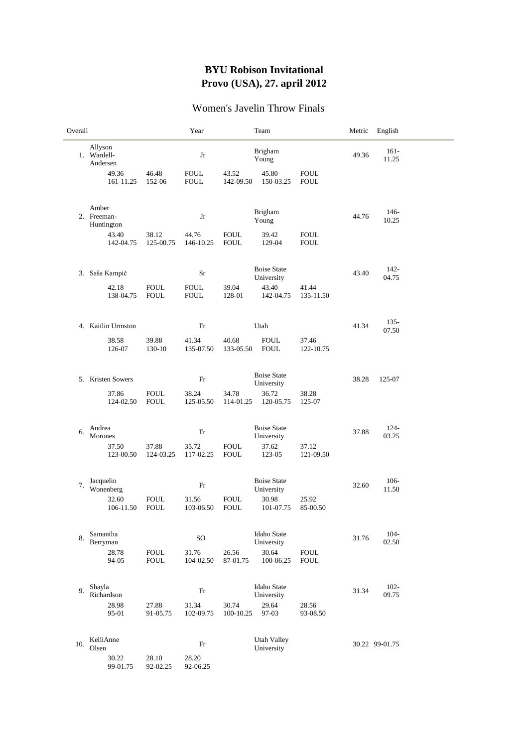## **BYU Robison Invitational Provo (USA), 27. april 2012**

## Women's Javelin Throw Finals

| Overall |                                    |                            | Year                       |                            | Team                             |                            | Metric | English          |  |
|---------|------------------------------------|----------------------------|----------------------------|----------------------------|----------------------------------|----------------------------|--------|------------------|--|
|         | Allyson<br>1. Wardell-<br>Andersen |                            | Jr                         |                            | <b>Brigham</b><br>Young          |                            | 49.36  | $161-$<br>11.25  |  |
|         | 49.36<br>161-11.25                 | 46.48<br>152-06            | <b>FOUL</b><br><b>FOUL</b> | 43.52<br>142-09.50         | 45.80<br>150-03.25               | <b>FOUL</b><br><b>FOUL</b> |        |                  |  |
|         | Amber<br>2. Freeman-<br>Huntington |                            | Jr                         |                            | <b>Brigham</b><br>Young          |                            | 44.76  | $146-$<br>10.25  |  |
|         | 43.40<br>142-04.75                 | 38.12<br>125-00.75         | 44.76<br>146-10.25         | <b>FOUL</b><br><b>FOUL</b> | 39.42<br>129-04                  | <b>FOUL</b><br><b>FOUL</b> |        |                  |  |
|         | 3. Saša Kampič                     |                            | Sr                         |                            | <b>Boise State</b><br>University |                            | 43.40  | $142 -$<br>04.75 |  |
|         | 42.18<br>138-04.75                 | <b>FOUL</b><br><b>FOUL</b> | <b>FOUL</b><br><b>FOUL</b> | 39.04<br>128-01            | 43.40<br>142-04.75               | 41.44<br>135-11.50         |        |                  |  |
|         | 4. Kaitlin Urmston                 |                            | Fr                         |                            | Utah                             |                            | 41.34  | $135 -$<br>07.50 |  |
|         | 38.58<br>126-07                    | 39.88<br>130-10            | 41.34<br>135-07.50         | 40.68<br>133-05.50         | <b>FOUL</b><br><b>FOUL</b>       | 37.46<br>122-10.75         |        |                  |  |
|         | 5. Kristen Sowers                  |                            | Fr                         |                            | <b>Boise State</b><br>University |                            | 38.28  | 125-07           |  |
|         | 37.86<br>124-02.50                 | <b>FOUL</b><br><b>FOUL</b> | 38.24<br>125-05.50         | 34.78<br>114-01.25         | 36.72<br>120-05.75               | 38.28<br>125-07            |        |                  |  |
| 6.      | Andrea<br>Morones                  |                            | Fr                         |                            | <b>Boise State</b><br>University |                            | 37.88  | $124 -$<br>03.25 |  |
|         | 37.50<br>123-00.50                 | 37.88<br>124-03.25         | 35.72<br>117-02.25         | <b>FOUL</b><br><b>FOUL</b> | 37.62<br>123-05                  | 37.12<br>121-09.50         |        |                  |  |
| 7.      | Jacquelin<br>Wonenberg             |                            | Fr                         |                            | <b>Boise State</b><br>University |                            | 32.60  | $106 -$<br>11.50 |  |
|         | 32.60<br>106-11.50                 | <b>FOUL</b><br><b>FOUL</b> | 31.56<br>103-06.50         | <b>FOUL</b><br><b>FOUL</b> | 30.98<br>101-07.75               | 25.92<br>85-00.50          |        |                  |  |
| 8.      | Samantha<br>Berryman               |                            | <b>SO</b>                  |                            | <b>Idaho State</b><br>University |                            | 31.76  | $104 -$<br>02.50 |  |
|         | 28.78<br>94-05                     | <b>FOUL</b><br><b>FOUL</b> | 31.76<br>104-02.50         | 26.56<br>87-01.75          | 30.64<br>100-06.25               | <b>FOUL</b><br><b>FOUL</b> |        |                  |  |
| 9.      | Shayla<br>Richardson               |                            | $\rm Fr$                   |                            | Idaho State<br>University        |                            | 31.34  | $102 -$<br>09.75 |  |
|         | 28.98<br>95-01                     | 27.88<br>91-05.75          | 31.34<br>102-09.75         | 30.74<br>100-10.25         | 29.64<br>97-03                   | 28.56<br>93-08.50          |        |                  |  |
| 10.     | KelliAnne<br>Olsen                 |                            | Fr                         |                            | <b>Utah Valley</b><br>University |                            |        | 30.22 99-01.75   |  |
|         | 30.22<br>99-01.75                  | 28.10<br>92-02.25          | 28.20<br>92-06.25          |                            |                                  |                            |        |                  |  |